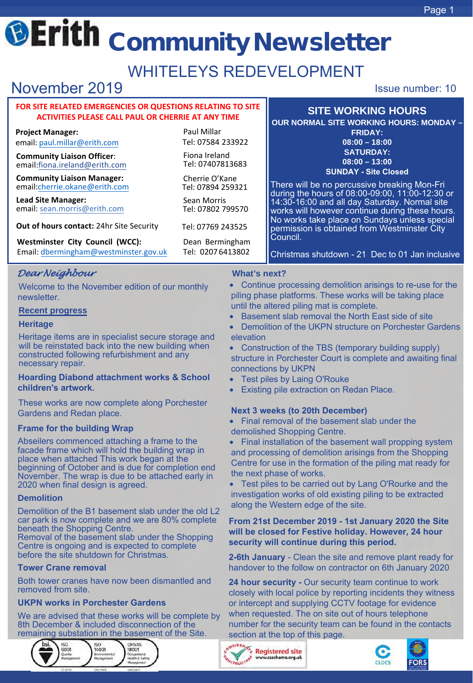# **@Erith Community Newsletter**

## WHITELEYS REDEVELOPMENT

## **November 2019 ISSUE 2019 ISSUE 2019**

#### **FOR SITE RELATED EMERGENCIES OR QUESTIONS RELATING TO SITE ACTIVITIES PLEASE CALL PAUL OR CHERRIE AT ANY TIME**

**Project Manager:** email: [paul.millar@erith.com](mailto:paul.millar@erith.com)

**Community Liaison Officer**: email[:fiona.ireland@erith.com](mailto:cherrie.okane@erith.com)

**Community Liaison Manager:**  email:cherrie.okane@erith.com

**Lead [Site Manager:](mailto:sean.morris@erith.com)**  email: sean.morris@erith.com

**Out of hours contact:** 24hr [Site Security](mailto:bd@erith.com)

**Westminster City Council (WCC):** Dean Bermingham Email[: dbermingham@westminster.gov.uk](mailto:dbermingham@westminster.gov.uk) Tel: 0207 6413802

### *Dear Neighbour*

Welcome to the November edition of our monthly newsletter.

#### **Recent progress**

#### **Heritage**

Heritage items are in specialist secure storage and will be reinstated back into the new building when constructed following refurbishment and any necessary repair.

#### **Hoarding Diabond attachment works & School children's artwork.**

These works are now complete along Porchester Gardens and Redan place.

#### **Frame for the building Wrap**

Abseilers commenced attaching a frame to the facade frame which will hold the building wrap in place when attached This work began at the beginning of October and is due for completion end November. The wrap is due to be attached early in 2020 when final design is agreed.

#### **Demolition**

Demolition of the B1 basement slab under the old L2 car park is now complete and we are 80% complete beneath the Shopping Centre.

Removal of the basement slab under the Shopping Centre is ongoing and is expected to complete before the site shutdown for Christmas.

#### **Tower Crane removal**

Both tower cranes have now been dismantled and removed from site.

#### **UKPN works in Porchester Gardens**

We are advised that these works will be complete by 8th December & included disconnection of the remaining substation in the basement of the Site.



Paul Millar Tel: 07584 233922

Fiona Ireland Tel: 07407813683

Cherrie O'Kane Tel: 07894 259321

Sean Morris Tel: 07802 799570

Tel: 07769 243525

#### **What's next?**

- Continue processing demolition arisings to re-use for the piling phase platforms. These works will be taking place until the altered piling mat is complete.
- Basement slab removal the North East side of site
- Demolition of the UKPN structure on Porchester Gardens elevation
- Construction of the TBS (temporary building supply) structure in Porchester Court is complete and awaiting final connections by UKPN
- Test piles by Laing O'Rouke

Council.

• Existing pile extraction on Redan Place.

#### **Next 3 weeks (to 20th December)**

- Final removal of the basement slab under the demolished Shopping Centre.
- Final installation of the basement wall propping system and processing of demolition arisings from the Shopping Centre for use in the formation of the piling mat ready for the next phase of works.

• Test piles to be carried out by Lang O'Rourke and the investigation works of old existing piling to be extracted along the Western edge of the site.

#### **From 21st December 2019 - 1st January 2020 the Site will be closed for Festive holiday. However, 24 hour security will continue during this period.**

**2-6th January** - Clean the site and remove plant ready for handover to the follow on contractor on 6th January 2020

**24 hour security -** Our security team continue to work closely with local police by reporting incidents they witness or intercept and supplying CCTV footage for evidence when requested. The on site out of hours telephone number for the security team can be found in the contacts section at the top of this page.





FORS



**SITE WORKING HOURS OUR NORMAL SITE WORKING HOURS: MONDAY – FRIDAY: 08:00 – 18:00 SATURDAY: 08:00 – 13:00 SUNDAY - Site Closed**

There will be no percussive breaking Mon-Fri during the hours of 08:00-09:00, 11:00-12:30 or 14:30-16:00 and all day Saturday. Normal site works will however continue during these hours. No works take place on Sundays unless special permission is obtained from Westminster City

Christmas shutdown - 21 Dec to 01 Jan inclusive